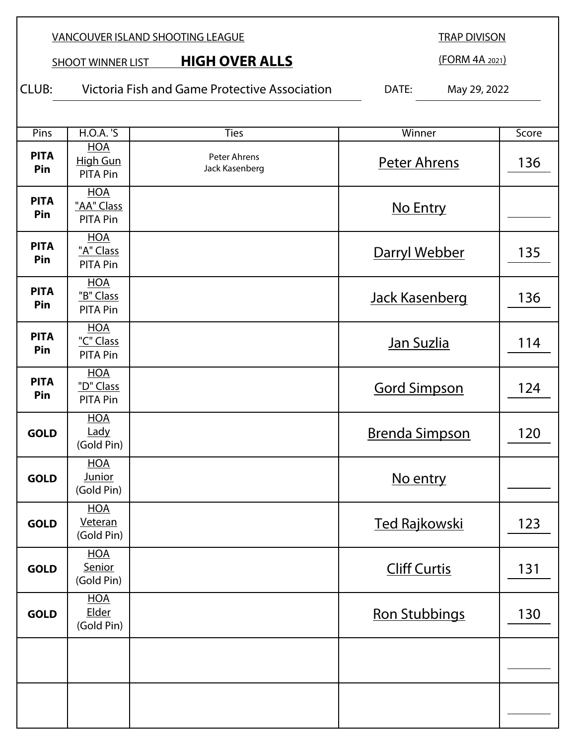TRAP DIVISON

**SHOOT WINNER LIST HIGH OVER ALLS** 

(FORM 4A 2021)

CLUB: Victoria Fish and Game Protective Association DATE: May 29, 2022

| Pins               | <b>H.O.A.</b> 'S                                 | <b>Ties</b>                    | Winner                | Score |
|--------------------|--------------------------------------------------|--------------------------------|-----------------------|-------|
| <b>PITA</b><br>Pin | <b>HOA</b><br><b>High Gun</b><br><b>PITA Pin</b> | Peter Ahrens<br>Jack Kasenberg | <b>Peter Ahrens</b>   | 136   |
| <b>PITA</b><br>Pin | <b>HOA</b><br>"AA" Class<br><b>PITA Pin</b>      |                                | No Entry              |       |
| <b>PITA</b><br>Pin | <b>HOA</b><br>"A" Class<br><b>PITA Pin</b>       |                                | Darryl Webber         | 135   |
| <b>PITA</b><br>Pin | <b>HOA</b><br>"B" Class<br><b>PITA Pin</b>       |                                | <b>Jack Kasenberg</b> | 136   |
| <b>PITA</b><br>Pin | <b>HOA</b><br>"C" Class<br><b>PITA Pin</b>       |                                | <u>Jan Suzlia</u>     | 114   |
| <b>PITA</b><br>Pin | <b>HOA</b><br>"D" Class<br><b>PITA Pin</b>       |                                | <b>Gord Simpson</b>   | 124   |
| <b>GOLD</b>        | <b>HOA</b><br>Lady<br>(Gold Pin)                 |                                | <b>Brenda Simpson</b> | 120   |
| <b>GOLD</b>        | <b>HOA</b><br>Junior<br>(Gold Pin)               |                                | No entry              |       |
| <b>GOLD</b>        | <b>HOA</b><br>Veteran<br>(Gold Pin)              |                                | Ted Rajkowski         | 123   |
| <b>GOLD</b>        | <b>HOA</b><br>Senior<br>(Gold Pin)               |                                | <b>Cliff Curtis</b>   | 131   |
| <b>GOLD</b>        | <b>HOA</b><br>Elder<br>(Gold Pin)                |                                | <b>Ron Stubbings</b>  | 130   |
|                    |                                                  |                                |                       |       |
|                    |                                                  |                                |                       |       |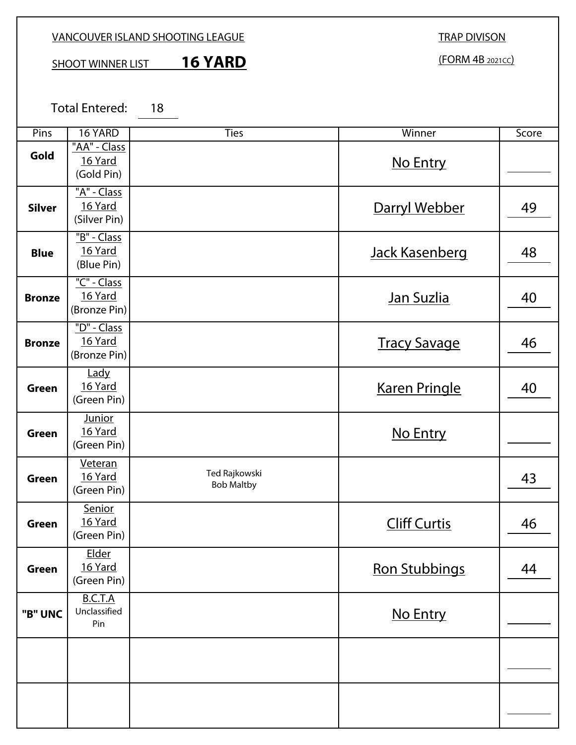# SHOOT WINNER LIST **16 YARD**

(FORM 4B 2021CC)

TRAP DIVISON

Total Entered: 18

| Pins          | 16 YARD                                | <b>Ties</b>                        | Winner                | Score |
|---------------|----------------------------------------|------------------------------------|-----------------------|-------|
| Gold          | "AA" - Class<br>16 Yard<br>(Gold Pin)  |                                    | No Entry              |       |
| <b>Silver</b> | "A" - Class<br>16 Yard<br>(Silver Pin) |                                    | Darryl Webber         | 49    |
| <b>Blue</b>   | "B" - Class<br>16 Yard<br>(Blue Pin)   |                                    | <b>Jack Kasenberg</b> | 48    |
| <b>Bronze</b> | "C" - Class<br>16 Yard<br>(Bronze Pin) |                                    | <u>Jan Suzlia</u>     | 40    |
| <b>Bronze</b> | "D" - Class<br>16 Yard<br>(Bronze Pin) |                                    | <b>Tracy Savage</b>   | 46    |
| <b>Green</b>  | Lady<br>16 Yard<br>(Green Pin)         |                                    | <b>Karen Pringle</b>  | 40    |
| <b>Green</b>  | Junior<br>16 Yard<br>(Green Pin)       |                                    | No Entry              |       |
| <b>Green</b>  | Veteran<br>16 Yard<br>(Green Pin)      | Ted Rajkowski<br><b>Bob Maltby</b> |                       | 43    |
| <b>Green</b>  | Senior<br>16 Yard<br>(Green Pin)       |                                    | <b>Cliff Curtis</b>   | 46    |
| Green         | Elder<br>16 Yard<br>(Green Pin)        |                                    | <b>Ron Stubbings</b>  | 44    |
| "B" UNC       | B.C.T.A<br>Unclassified<br>Pin         |                                    | No Entry              |       |
|               |                                        |                                    |                       |       |
|               |                                        |                                    |                       |       |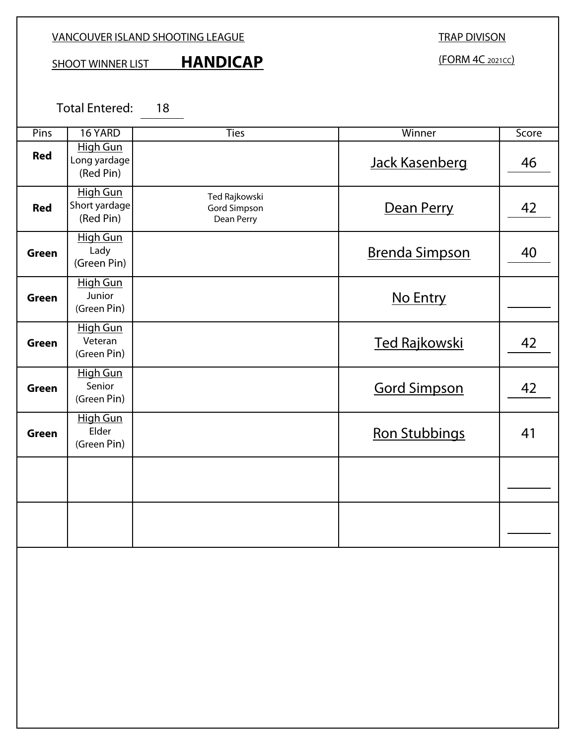# SHOOT WINNER LIST **HANDICAP**

### TRAP DIVISON

(FORM 4C 2021CC)

Total Entered: 18

| Pins         | 16 YARD                                       | <b>Ties</b>                                        | Winner                | Score |
|--------------|-----------------------------------------------|----------------------------------------------------|-----------------------|-------|
| <b>Red</b>   | <b>High Gun</b><br>Long yardage<br>(Red Pin)  |                                                    | <b>Jack Kasenberg</b> | 46    |
| <b>Red</b>   | <b>High Gun</b><br>Short yardage<br>(Red Pin) | Ted Rajkowski<br><b>Gord Simpson</b><br>Dean Perry | Dean Perry            | 42    |
| <b>Green</b> | <b>High Gun</b><br>Lady<br>(Green Pin)        |                                                    | <b>Brenda Simpson</b> | 40    |
| <b>Green</b> | High Gun<br>Junior<br>(Green Pin)             |                                                    | No Entry              |       |
| Green        | High Gun<br>Veteran<br>(Green Pin)            |                                                    | Ted Rajkowski         | 42    |
| <b>Green</b> | High Gun<br>Senior<br>(Green Pin)             |                                                    | <b>Gord Simpson</b>   | 42    |
| <b>Green</b> | High Gun<br>Elder<br>(Green Pin)              |                                                    | <b>Ron Stubbings</b>  | 41    |
|              |                                               |                                                    |                       |       |
|              |                                               |                                                    |                       |       |
|              |                                               |                                                    |                       |       |
|              |                                               |                                                    |                       |       |
|              |                                               |                                                    |                       |       |
|              |                                               |                                                    |                       |       |